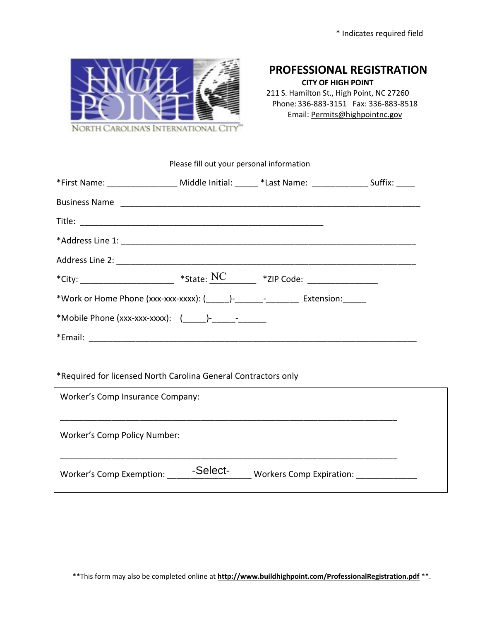

## **PROFESSIONAL REGISTRATION**

**CITY OF HIGH POINT** 211 S. Hamilton St., High Point, NC 27260 Phone: 336-883-3151 Fax: 336-883-8518 Email: Permits@highpointnc.gov

## Please fill out your personal information

| *First Name: ____________________ Middle Initial: ______ *Last Name: ________________ Suffix: _____ |  |  |  |  |
|-----------------------------------------------------------------------------------------------------|--|--|--|--|
| Business Name                                                                                       |  |  |  |  |
|                                                                                                     |  |  |  |  |
|                                                                                                     |  |  |  |  |
|                                                                                                     |  |  |  |  |
| *City: ______________________ *State: $\frac{NC}{C}$ *ZIP Code: ______________________              |  |  |  |  |
| *Work or Home Phone (xxx-xxx-xxxx): ( )- The section of Extension:                                  |  |  |  |  |
|                                                                                                     |  |  |  |  |
|                                                                                                     |  |  |  |  |

## \*Required for licensed North Carolina General Contractors only

| Worker's Comp Insurance Company:    |          |                                 |  |  |
|-------------------------------------|----------|---------------------------------|--|--|
| <b>Worker's Comp Policy Number:</b> |          |                                 |  |  |
| Worker's Comp Exemption:            | -Select- | <b>Workers Comp Expiration:</b> |  |  |

\*\*This form may also be completed online at **http://www.buildhighpoint.com/ProfessionalRegistration.pdf** \*\*.